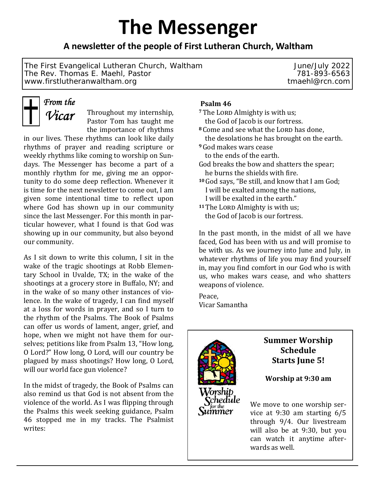# **The Messenger**

# **A newsleƩer of the people of First Lutheran Church, Waltham**

The First Evangelical Lutheran Church, Waltham June/July 2022 The Rev. Thomas E. Maehl, Pastor 781-893-6563 www.firstlutheranwaltham.org tmaehl@rcn.com



Throughout my internship, Pastor Tom has taught me the importance of rhythms

in our lives. These rhythms can look like daily rhythms of prayer and reading scripture or weekly rhythms like coming to worship on Sundays. The Messenger has become a part of a monthly rhythm for me, giving me an opportunity to do some deep reflection. Whenever it is time for the next newsletter to come out, I am given some intentional time to reflect upon where God has shown up in our community since the last Messenger. For this month in particular however, what I found is that God was showing up in our community, but also beyond our community.

As I sit down to write this column, I sit in the wake of the tragic shootings at Robb Elementary School in Uvalde, TX; in the wake of the shootings at a grocery store in Buffalo, NY; and in the wake of so many other instances of violence. In the wake of tragedy, I can find myself at a loss for words in prayer, and so I turn to the rhythm of the Psalms. The Book of Psalms can offer us words of lament, anger, grief, and hope, when we might not have them for ourselves; petitions like from Psalm 13, "How long, O Lord?" How long, O Lord, will our country be plagued by mass shootings? How long, O Lord, will our world face gun violence?

In the midst of tragedy, the Book of Psalms can also remind us that God is not absent from the violence of the world. As I was flipping through the Psalms this week seeking guidance, Psalm 46 stopped me in my tracks. The Psalmist writes:

## **Psalm 46**

- <sup>7</sup>The LORD Almighty is with us; the God of Jacob is our fortress.
- <sup>8</sup> Come and see what the LORD has done, the desolations he has brought on the earth.
- **<sup>9</sup>**God makes wars cease to the ends of the earth.
- God breaks the bow and shatters the spear; he burns the shields with fire.
- **<sup>10</sup>**God says, "Be still, and know that I am God; I will be exalted among the nations, I will be exalted in the earth."
- 11 The LORD Almighty is with us; the God of Jacob is our fortress.

In the past month, in the midst of all we have faced, God has been with us and will promise to be with us. As we journey into June and July, in whatever rhythms of life you may find yourself in, may you find comfort in our God who is with us, who makes wars cease, and who shatters weapons of violence.

Peace, Vicar Samantha

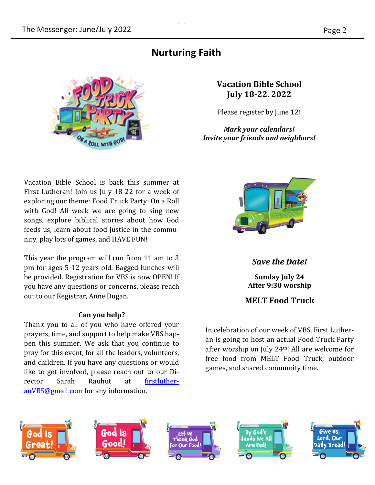# **Nurturing Faith**



**Vacation Bible School July 18‐22. 2022**

Please register by June 12!

*Mark your calendars! Invite your friends and neighbors!*

Vacation Bible School is back this summer at First Lutheran! Join us July 18-22 for a week of exploring our theme: Food Truck Party: On a Roll with God! All week we are going to sing new songs, explore biblical stories about how God feeds us, learn about food justice in the community, play lots of games, and HAVE FUN!

This year the program will run from 11 am to 3 pm for ages 5-12 years old. Bagged lunches will be provided. Registration for VBS is now OPEN! If you have any questions or concerns, please reach out to our Registrar, Anne Dugan.

# **Can you help?**

Thank you to all of you who have offered your prayers, time, and support to help make VBS happen this summer. We ask that you continue to pray for this event, for all the leaders, volunteers, and children. If you have any questions or would like to get involved, please reach out to our Director Sarah Rauhut at firstlutheranVBS@gmail.com for any information.



*Save the Date!*

**Sunday July 24 After 9:30 worship**

# **MELT Food Truck**

In celebration of our week of VBS, First Lutheran is going to host an actual Food Truck Party after worship on July 24th! All are welcome for free food from MELT Food Truck, outdoor games, and shared community time.

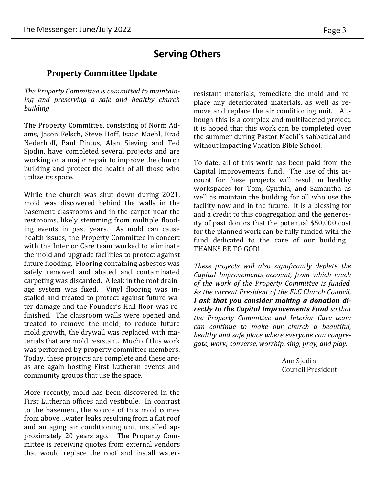# **Serving Others**

# **Property Committee Update**

*The Property Committee is committed to maintaining and preserving a safe and healthy church building*

The Property Committee, consisting of Norm Adams, Jason Felsch, Steve Hoff, Isaac Maehl, Brad Nederhoff, Paul Pintus, Alan Sieving and Ted Sjodin, have completed several projects and are working on a major repair to improve the church building and protect the health of all those who utilize its space.

While the church was shut down during 2021, mold was discovered behind the walls in the basement classrooms and in the carpet near the restrooms, likely stemming from multiple flooding events in past years. As mold can cause health issues, the Property Committee in concert with the Interior Care team worked to eliminate the mold and upgrade facilities to protect against future flooding. Flooring containing asbestos was safely removed and abated and contaminated carpeting was discarded. A leak in the roof drainage system was fixed. Vinyl flooring was installed and treated to protect against future water damage and the Founder's Hall floor was refinished. The classroom walls were opened and treated to remove the mold; to reduce future mold growth, the drywall was replaced with materials that are mold resistant. Much of this work was performed by property committee members. Today, these projects are complete and these areas are again hosting First Lutheran events and community groups that use the space.

More recently, mold has been discovered in the First Lutheran offices and vestibule. In contrast to the basement, the source of this mold comes from above ... water leaks resulting from a flat roof and an aging air conditioning unit installed approximately 20 years ago. The Property Committee is receiving quotes from external vendors that would replace the roof and install waterresistant materials, remediate the mold and replace any deteriorated materials, as well as remove and replace the air conditioning unit. Although this is a complex and multifaceted project, it is hoped that this work can be completed over the summer during Pastor Maehl's sabbatical and without impacting Vacation Bible School.

To date, all of this work has been paid from the Capital Improvements fund. The use of this account for these projects will result in healthy workspaces for Tom, Cynthia, and Samantha as well as maintain the building for all who use the facility now and in the future. It is a blessing for and a credit to this congregation and the generosity of past donors that the potential \$50,000 cost for the planned work can be fully funded with the fund dedicated to the care of our building… THANKS BE TO GOD!

*These projects* will also *significantly deplete the Capital Improvements account, from which much of the work of the Property Committee is funded. As the current President of the FLC Church Council, I ask that you consider making a donation directly to the Capital Improvements Fund so that the Property Committee and Interior Care team can continue to make our church a beautiful, healthy and safe place where everyone can congregate, work, converse, worship, sing, pray, and play.*

> Ann Sjodin Council President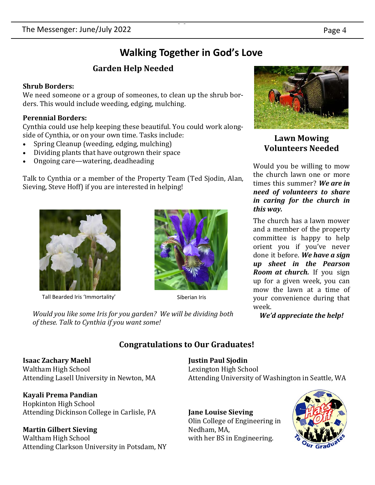# **Walking Together in God's Love**

# **Garden Help Needed**

### **Shrub Borders:**

We need someone or a group of someones, to clean up the shrub borders. This would include weeding, edging, mulching.

## **Perennial Borders:**

Cynthia could use help keeping these beautiful. You could work alongside of Cynthia, or on your own time. Tasks include:

- Spring Cleanup (weeding, edging, mulching)
- Dividing plants that have outgrown their space
- Ongoing care—watering, deadheading

Talk to Cynthia or a member of the Property Team (Ted Sjodin, Alan, Sieving, Steve Hoff) if you are interested in helping!



Tall Bearded Iris 'Immortality' Siberian Iris



*Would you like some Iris for you garden? We will be dividing both of these. Talk to Cynthia if you want some!*

**Lawn Mowing Volunteers Needed**

Would you be willing to mow the church lawn one or more times this summer? *We are in need of volunteers to share in caring for the church in this way.* 

The church has a lawn mower and a member of the property committee is happy to help orient you if you've never done it before. *We have a sign up sheet in the Pearson Room at church.* If you sign up for a given week, you can mow the lawn at a time of your convenience during that week.

*We'd appreciate the help!*

# **Congratulations to Our Graduates!**

**Isaac Zachary Maehl** Waltham High School Attending Lasell University in Newton, MA

**Kayali Prema Pandian** Hopkinton High School Attending Dickinson College in Carlisle, PA

# **Martin Gilbert Sieving**

Waltham High School Attending Clarkson University in Potsdam, NY **Justin Paul Sjodin**  Lexington High School Attending University of Washington in Seattle, WA

**Jane Louise Sieving** Olin College of Engineering in Nedham, MA, with her BS in Engineering.

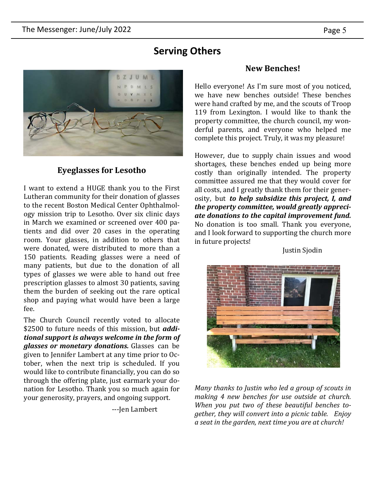# **Serving Others**



### **Eyeglasses for Lesotho**

I want to extend a HUGE thank you to the First Lutheran community for their donation of glasses to the recent Boston Medical Center Ophthalmology mission trip to Lesotho. Over six clinic days in March we examined or screened over 400 patients and did over 20 cases in the operating room. Your glasses, in addition to others that were donated, were distributed to more than a 150 patients. Reading glasses were a need of many patients, but due to the donation of all types of glasses we were able to hand out free prescription glasses to almost 30 patients, saving them the burden of seeking out the rare optical shop and paying what would have been a large fee.

The Church Council recently voted to allocate \$2500 to future needs of this mission, but *additional support is always welcome in the form of glasses or monetary donations.* Glasses can be given to Jennifer Lambert at any time prior to October, when the next trip is scheduled. If you would like to contribute financially, you can do so through the offering plate, just earmark your donation for Lesotho. Thank you so much again for your generosity, prayers, and ongoing support.

---Jen Lambert

### **New Benches!**

Hello everyone! As I'm sure most of you noticed, we have new benches outside! These benches were hand crafted by me, and the scouts of Troop 119 from Lexington. I would like to thank the property committee, the church council, my wonderful parents, and everyone who helped me complete this project. Truly, it was my pleasure!

However, due to supply chain issues and wood shortages, these benches ended up being more costly than originally intended. The property committee assured me that they would cover for all costs, and I greatly thank them for their generosity, but *to help subsidize this project, I, and the property committee, would greatly appreciate donations to the capital improvement fund.* No donation is too small. Thank you everyone, and I look forward to supporting the church more in future projects!

Justin Sjodin



*Many thanks to Justin who led a group of scouts in making 4 new benches for use outside at church. When you put two of these beautiful benches together, they will convert into a picnic table. Enjoy a seat in the garden, next time you are at church!*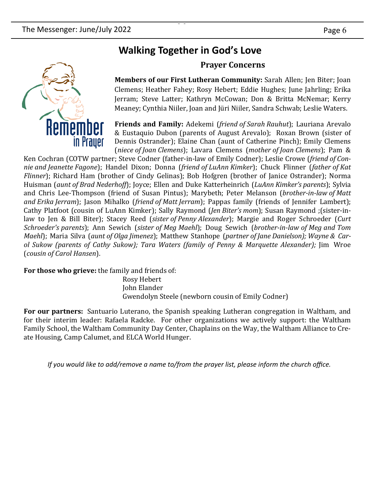# **Walking Together in God's Love**

## **Prayer Concerns**

**Members of our First Lutheran Community:** Sarah Allen; Jen Biter; Joan Clemens; Heather Fahey; Rosy Hebert; Eddie Hughes; June Jahrling; Erika Jerram; Steve Latter; Kathryn McCowan; Don & Britta McNemar; Kerry Meaney; Cynthia Niiler, Joan and Jüri Niiler, Sandra Schwab; Leslie Waters.

**Friends and Family:** Adekemi (*friend of Sarah Rauhut*); Lauriana Arevalo & Eustaquio Dubon (parents of August Arevalo); Roxan Brown (sister of Dennis Ostrander); Elaine Chan (aunt of Catherine Pinch); Emily Clemens (*niece of Joan Clemens*); Lavara Clemens (*mother of Joan Clemens*); Pam &

Ken Cochran (COTW partner; Steve Codner (father-in-law of Emily Codner); Leslie Crowe (*friend of Connie and Jeanette Fagone*); Handel Dixon; Donna (*friend of LuAnn Kimker*); Chuck Flinner (*father of Kat Flinner*); Richard Ham (brother of Cindy Gelinas); Bob Hofgren (brother of Janice Ostrander); Norma Huisman (*aunt of Brad Nederhoff*); Joyce; Ellen and Duke Katterheinrich (*LuAnn Kimker's parents*); Sylvia and Chris Lee-Thompson (friend of Susan Pintus); Marybeth; Peter Melanson (*brother-in-law of Matt and Erika Jerram*); Jason Mihalko (*friend of Matt Jerram*); Pappas family (friends of Jennifer Lambert); Cathy Platfoot (cousin of LuAnn Kimker); Sally Raymond (*Jen Biter's mom*); Susan Raymond ;(sister-inlaw to Jen & Bill Biter); Stacey Reed (*sister of Penny Alexander*); Margie and Roger Schroeder (*Curt Schroeder's parents*); Ann Sewich (*sister of Meg Maehl*); Doug Sewich (*brother-in-law of Meg and Tom Maehl*); Maria Silva (*aunt of Olga Jimenez*); Matthew Stanhope (*partner of Jane Danielson); Wayne & Carol Sukow (parents of Cathy Sukow); Tara Waters (family of Penny & Marquette Alexander);* Jim Wroe (*cousin of Carol Hansen*).

**For those who grieve:** the family and friends of: Rosy Hebert

John Elander Gwendolyn Steele (newborn cousin of Emily Codner)

**For our partners:** Santuario Luterano, the Spanish speaking Lutheran congregation in Waltham, and for their interim leader: Rafaela Radcke. For other organizations we actively support: the Waltham Family School, the Waltham Community Day Center, Chaplains on the Way, the Waltham Alliance to Create Housing, Camp Calumet, and ELCA World Hunger.

*If you would like to add/remove a name to/from the prayer list, please inform the church office.*